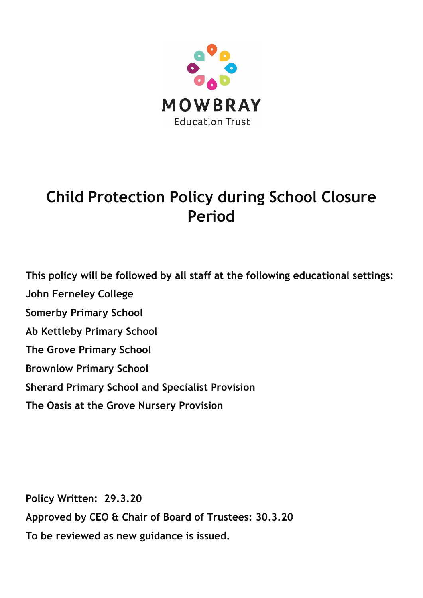

# **Child Protection Policy during School Closure Period**

**This policy will be followed by all staff at the following educational settings: John Ferneley College Somerby Primary School Ab Kettleby Primary School The Grove Primary School Brownlow Primary School Sherard Primary School and Specialist Provision The Oasis at the Grove Nursery Provision**

**Policy Written: 29.3.20 Approved by CEO & Chair of Board of Trustees: 30.3.20 To be reviewed as new guidance is issued.**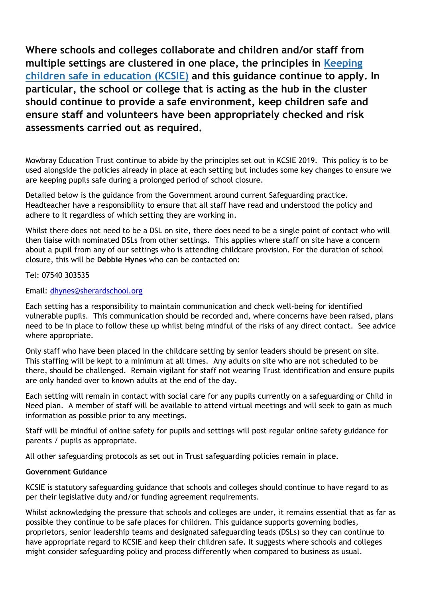**Where schools and colleges collaborate and children and/or staff from multiple settings are clustered in one place, the principles in [Keeping](https://www.gov.uk/government/publications/keeping-children-safe-in-education--2) children safe in [education](https://www.gov.uk/government/publications/keeping-children-safe-in-education--2) (KCSIE) and this guidance continue to apply. In particular, the school or college that is acting as the hub in the cluster should continue to provide a safe environment, keep children safe and ensure staff and volunteers have been appropriately checked and risk assessments carried out as required.** 

Mowbray Education Trust continue to abide by the principles set out in KCSIE 2019. This policy is to be used alongside the policies already in place at each setting but includes some key changes to ensure we are keeping pupils safe during a prolonged period of school closure.

Detailed below is the guidance from the Government around current Safeguarding practice. Headteacher have a responsibility to ensure that all staff have read and understood the policy and adhere to it regardless of which setting they are working in.

Whilst there does not need to be a DSL on site, there does need to be a single point of contact who will then liaise with nominated DSLs from other settings. This applies where staff on site have a concern about a pupil from any of our settings who is attending childcare provision. For the duration of school closure, this will be **Debbie Hynes** who can be contacted on:

Tel: 07540 303535

Email: [dhynes@sherardschool.org](mailto:dhynes@sherardschool.org)

Each setting has a responsibility to maintain communication and check well-being for identified vulnerable pupils. This communication should be recorded and, where concerns have been raised, plans need to be in place to follow these up whilst being mindful of the risks of any direct contact. See advice where appropriate.

Only staff who have been placed in the childcare setting by senior leaders should be present on site. This staffing will be kept to a minimum at all times. Any adults on site who are not scheduled to be there, should be challenged. Remain vigilant for staff not wearing Trust identification and ensure pupils are only handed over to known adults at the end of the day.

Each setting will remain in contact with social care for any pupils currently on a safeguarding or Child in Need plan. A member of staff will be available to attend virtual meetings and will seek to gain as much information as possible prior to any meetings.

Staff will be mindful of online safety for pupils and settings will post regular online safety guidance for parents / pupils as appropriate.

All other safeguarding protocols as set out in Trust safeguarding policies remain in place.

#### **Government Guidance**

KCSIE is statutory safeguarding guidance that schools and colleges should continue to have regard to as per their legislative duty and/or funding agreement requirements.

Whilst acknowledging the pressure that schools and colleges are under, it remains essential that as far as possible they continue to be safe places for children. This guidance supports governing bodies, proprietors, senior leadership teams and designated safeguarding leads (DSLs) so they can continue to have appropriate regard to KCSIE and keep their children safe. It suggests where schools and colleges might consider safeguarding policy and process differently when compared to business as usual.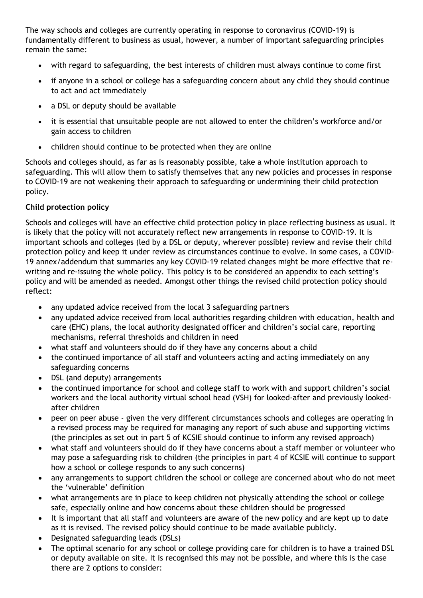The way schools and colleges are currently operating in response to coronavirus (COVID-19) is fundamentally different to business as usual, however, a number of important safeguarding principles remain the same:

- with regard to safeguarding, the best interests of children must always continue to come first
- if anyone in a school or college has a safeguarding concern about any child they should continue to act and act immediately
- a DSL or deputy should be available
- it is essential that unsuitable people are not allowed to enter the children's workforce and/or gain access to children
- children should continue to be protected when they are online

Schools and colleges should, as far as is reasonably possible, take a whole institution approach to safeguarding. This will allow them to satisfy themselves that any new policies and processes in response to COVID-19 are not weakening their approach to safeguarding or undermining their child protection policy.

# **Child protection policy**

Schools and colleges will have an effective child protection policy in place reflecting business as usual. It is likely that the policy will not accurately reflect new arrangements in response to COVID-19. It is important schools and colleges (led by a DSL or deputy, wherever possible) review and revise their child protection policy and keep it under review as circumstances continue to evolve. In some cases, a COVID-19 annex/addendum that summaries any key COVID-19 related changes might be more effective that rewriting and re-issuing the whole policy. This policy is to be considered an appendix to each setting's policy and will be amended as needed. Amongst other things the revised child protection policy should reflect:

- any updated advice received from the local 3 safeguarding partners
- any updated advice received from local authorities regarding children with education, health and care (EHC) plans, the local authority designated officer and children's social care, reporting mechanisms, referral thresholds and children in need
- what staff and volunteers should do if they have any concerns about a child
- the continued importance of all staff and volunteers acting and acting immediately on any safeguarding concerns
- DSL (and deputy) arrangements
- the continued importance for school and college staff to work with and support children's social workers and the local authority virtual school head (VSH) for looked-after and previously lookedafter children
- peer on peer abuse given the very different circumstances schools and colleges are operating in a revised process may be required for managing any report of such abuse and supporting victims (the principles as set out in part 5 of KCSIE should continue to inform any revised approach)
- what staff and volunteers should do if they have concerns about a staff member or volunteer who may pose a safeguarding risk to children (the principles in part 4 of KCSIE will continue to support how a school or college responds to any such concerns)
- any arrangements to support children the school or college are concerned about who do not meet the 'vulnerable' definition
- what arrangements are in place to keep children not physically attending the school or college safe, especially online and how concerns about these children should be progressed
- It is important that all staff and volunteers are aware of the new policy and are kept up to date as it is revised. The revised policy should continue to be made available publicly.
- Designated safeguarding leads (DSLs)
- The optimal scenario for any school or college providing care for children is to have a trained DSL or deputy available on site. It is recognised this may not be possible, and where this is the case there are 2 options to consider: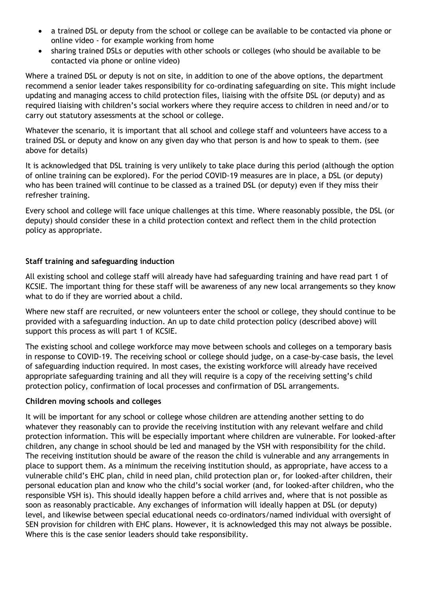- a trained DSL or deputy from the school or college can be available to be contacted via phone or online video - for example working from home
- sharing trained DSLs or deputies with other schools or colleges (who should be available to be contacted via phone or online video)

Where a trained DSL or deputy is not on site, in addition to one of the above options, the department recommend a senior leader takes responsibility for co-ordinating safeguarding on site. This might include updating and managing access to child protection files, liaising with the offsite DSL (or deputy) and as required liaising with children's social workers where they require access to children in need and/or to carry out statutory assessments at the school or college.

Whatever the scenario, it is important that all school and college staff and volunteers have access to a trained DSL or deputy and know on any given day who that person is and how to speak to them. (see above for details)

It is acknowledged that DSL training is very unlikely to take place during this period (although the option of online training can be explored). For the period COVID-19 measures are in place, a DSL (or deputy) who has been trained will continue to be classed as a trained DSL (or deputy) even if they miss their refresher training.

Every school and college will face unique challenges at this time. Where reasonably possible, the DSL (or deputy) should consider these in a child protection context and reflect them in the child protection policy as appropriate.

## **Staff training and safeguarding induction**

All existing school and college staff will already have had safeguarding training and have read part 1 of KCSIE. The important thing for these staff will be awareness of any new local arrangements so they know what to do if they are worried about a child.

Where new staff are recruited, or new volunteers enter the school or college, they should continue to be provided with a safeguarding induction. An up to date child protection policy (described above) will support this process as will part 1 of KCSIE.

The existing school and college workforce may move between schools and colleges on a temporary basis in response to COVID-19. The receiving school or college should judge, on a case-by-case basis, the level of safeguarding induction required. In most cases, the existing workforce will already have received appropriate safeguarding training and all they will require is a copy of the receiving setting's child protection policy, confirmation of local processes and confirmation of DSL arrangements.

#### **Children moving schools and colleges**

It will be important for any school or college whose children are attending another setting to do whatever they reasonably can to provide the receiving institution with any relevant welfare and child protection information. This will be especially important where children are vulnerable. For looked-after children, any change in school should be led and managed by the VSH with responsibility for the child. The receiving institution should be aware of the reason the child is vulnerable and any arrangements in place to support them. As a minimum the receiving institution should, as appropriate, have access to a vulnerable child's EHC plan, child in need plan, child protection plan or, for looked-after children, their personal education plan and know who the child's social worker (and, for looked-after children, who the responsible VSH is). This should ideally happen before a child arrives and, where that is not possible as soon as reasonably practicable. Any exchanges of information will ideally happen at DSL (or deputy) level, and likewise between special educational needs co-ordinators/named individual with oversight of SEN provision for children with EHC plans. However, it is acknowledged this may not always be possible. Where this is the case senior leaders should take responsibility.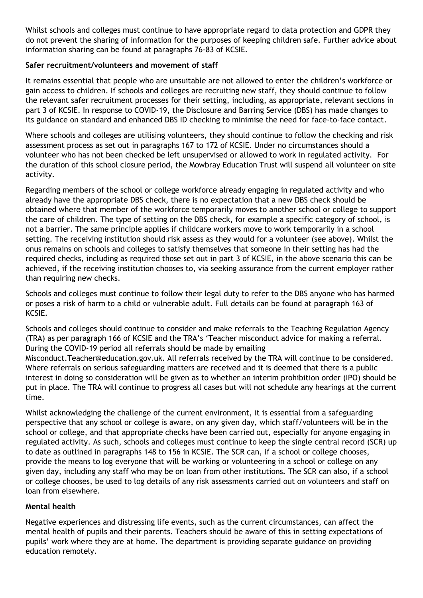Whilst schools and colleges must continue to have appropriate regard to data protection and GDPR they do not prevent the sharing of information for the purposes of keeping children safe. Further advice about information sharing can be found at paragraphs 76-83 of KCSIE.

### **Safer recruitment/volunteers and movement of staff**

It remains essential that people who are unsuitable are not allowed to enter the children's workforce or gain access to children. If schools and colleges are recruiting new staff, they should continue to follow the relevant safer recruitment processes for their setting, including, as appropriate, relevant sections in part 3 of KCSIE. In response to COVID-19, the Disclosure and Barring Service (DBS) has made changes to its guidance on standard and enhanced DBS ID checking to minimise the need for face-to-face contact.

Where schools and colleges are utilising volunteers, they should continue to follow the checking and risk assessment process as set out in paragraphs 167 to 172 of KCSIE. Under no circumstances should a volunteer who has not been checked be left unsupervised or allowed to work in regulated activity. For the duration of this school closure period, the Mowbray Education Trust will suspend all volunteer on site activity.

Regarding members of the school or college workforce already engaging in regulated activity and who already have the appropriate DBS check, there is no expectation that a new DBS check should be obtained where that member of the workforce temporarily moves to another school or college to support the care of children. The type of setting on the DBS check, for example a specific category of school, is not a barrier. The same principle applies if childcare workers move to work temporarily in a school setting. The receiving institution should risk assess as they would for a volunteer (see above). Whilst the onus remains on schools and colleges to satisfy themselves that someone in their setting has had the required checks, including as required those set out in part 3 of KCSIE, in the above scenario this can be achieved, if the receiving institution chooses to, via seeking assurance from the current employer rather than requiring new checks.

Schools and colleges must continue to follow their legal duty to refer to the DBS anyone who has harmed or poses a risk of harm to a child or vulnerable adult. Full details can be found at paragraph 163 of KCSIE.

Schools and colleges should continue to consider and make referrals to the Teaching Regulation Agency (TRA) as per paragraph 166 of KCSIE and the TRA's 'Teacher misconduct advice for making a referral. During the COVID-19 period all referrals should be made by emailing Misconduct.Teacher@education.gov.uk. All referrals received by the TRA will continue to be considered. Where referrals on serious safeguarding matters are received and it is deemed that there is a public interest in doing so consideration will be given as to whether an interim prohibition order (IPO) should be put in place. The TRA will continue to progress all cases but will not schedule any hearings at the current time.

Whilst acknowledging the challenge of the current environment, it is essential from a safeguarding perspective that any school or college is aware, on any given day, which staff/volunteers will be in the school or college, and that appropriate checks have been carried out, especially for anyone engaging in regulated activity. As such, schools and colleges must continue to keep the single central record (SCR) up to date as outlined in paragraphs 148 to 156 in KCSIE. The SCR can, if a school or college chooses, provide the means to log everyone that will be working or volunteering in a school or college on any given day, including any staff who may be on loan from other institutions. The SCR can also, if a school or college chooses, be used to log details of any risk assessments carried out on volunteers and staff on loan from elsewhere.

#### **Mental health**

Negative experiences and distressing life events, such as the current circumstances, can affect the mental health of pupils and their parents. Teachers should be aware of this in setting expectations of pupils' work where they are at home. The department is providing separate guidance on providing education remotely.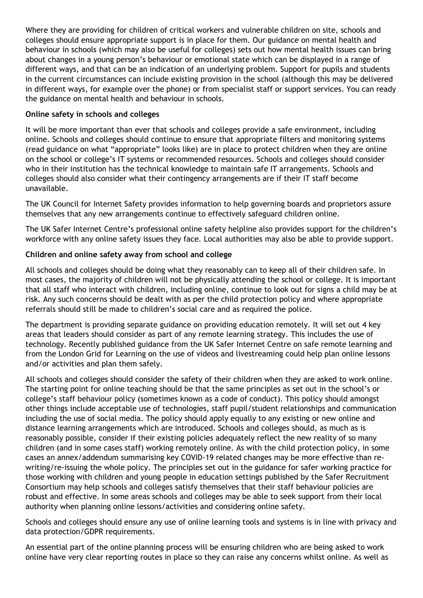Where they are providing for children of critical workers and vulnerable children on site, schools and colleges should ensure appropriate support is in place for them. Our guidance on mental health and behaviour in schools (which may also be useful for colleges) sets out how mental health issues can bring about changes in a young person's behaviour or emotional state which can be displayed in a range of different ways, and that can be an indication of an underlying problem. Support for pupils and students in the current circumstances can include existing provision in the school (although this may be delivered in different ways, for example over the phone) or from specialist staff or support services. You can ready the guidance on mental health and behaviour in schools.

## **Online safety in schools and colleges**

It will be more important than ever that schools and colleges provide a safe environment, including online. Schools and colleges should continue to ensure that appropriate filters and monitoring systems (read guidance on what "appropriate" looks like) are in place to protect children when they are online on the school or college's IT systems or recommended resources. Schools and colleges should consider who in their institution has the technical knowledge to maintain safe IT arrangements. Schools and colleges should also consider what their contingency arrangements are if their IT staff become unavailable.

The UK Council for Internet Safety provides information to help governing boards and proprietors assure themselves that any new arrangements continue to effectively safeguard children online.

The UK Safer Internet Centre's professional online safety helpline also provides support for the children's workforce with any online safety issues they face. Local authorities may also be able to provide support.

# **Children and online safety away from school and college**

All schools and colleges should be doing what they reasonably can to keep all of their children safe. In most cases, the majority of children will not be physically attending the school or college. It is important that all staff who interact with children, including online, continue to look out for signs a child may be at risk. Any such concerns should be dealt with as per the child protection policy and where appropriate referrals should still be made to children's social care and as required the police.

The department is providing separate guidance on providing education remotely. It will set out 4 key areas that leaders should consider as part of any remote learning strategy. This includes the use of technology. Recently published guidance from the UK Safer Internet Centre on safe remote learning and from the London Grid for Learning on the use of videos and livestreaming could help plan online lessons and/or activities and plan them safely.

All schools and colleges should consider the safety of their children when they are asked to work online. The starting point for online teaching should be that the same principles as set out in the school's or college's staff behaviour policy (sometimes known as a code of conduct). This policy should amongst other things include acceptable use of technologies, staff pupil/student relationships and communication including the use of social media. The policy should apply equally to any existing or new online and distance learning arrangements which are introduced. Schools and colleges should, as much as is reasonably possible, consider if their existing policies adequately reflect the new reality of so many children (and in some cases staff) working remotely online. As with the child protection policy, in some cases an annex/addendum summarising key COVID-19 related changes may be more effective than rewriting/re-issuing the whole policy. The principles set out in the guidance for safer working practice for those working with children and young people in education settings published by the Safer Recruitment Consortium may help schools and colleges satisfy themselves that their staff behaviour policies are robust and effective. In some areas schools and colleges may be able to seek support from their local authority when planning online lessons/activities and considering online safety.

Schools and colleges should ensure any use of online learning tools and systems is in line with privacy and data protection/GDPR requirements.

An essential part of the online planning process will be ensuring children who are being asked to work online have very clear reporting routes in place so they can raise any concerns whilst online. As well as